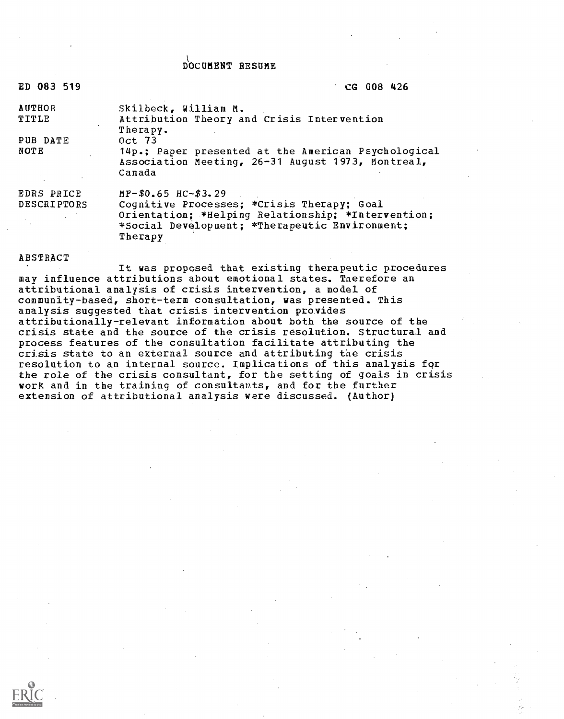## DOCUMENT RESUME

| ED 083 519             | CG 008 426                                                         |
|------------------------|--------------------------------------------------------------------|
| <b>AUTHOR</b><br>TITLE | Skilbeck, William M.<br>Attribution Theory and Crisis Intervention |
|                        | Therapy.                                                           |
| PUB DATE               | Oct 73                                                             |
| NOT E                  | 14p.; Paper presented at the American Psychological                |
|                        | Association Meeting, 26-31 August 1973, Montreal,<br>Canada        |
| EDRS PRICE             | $MF-50.65$ $HC-53.29$                                              |
| <b>DESCRIPTORS</b>     | Cognitive Processes; *Crisis Therapy; Goal                         |
|                        | Orientation; *Helping Relationship; *Intervention;                 |
|                        | *Social Development: *Therapeutic Environment;<br>Therapy          |
|                        |                                                                    |

#### ABSTRACT

It was proposed that existing therapeutic procedures may influence attributions about emotional states. Tnerefore an attributional analysis of crisis intervention, a model of community-based, short-term consultation, was presented. This analysis suggested that crisis intervention provides attributionally-relevant information about both the source of the crisis state and the source of the crisis resolution. Structural and process features of the consultation facilitate attributing the crisis state to an external source and attributing the crisis resolution to an internal source. Implications of this analysis fqr the role of the crisis consultant, for the setting of goals in crisis work and in the training of consultauts, and for the further extension of attributional analysis were discussed. (Author)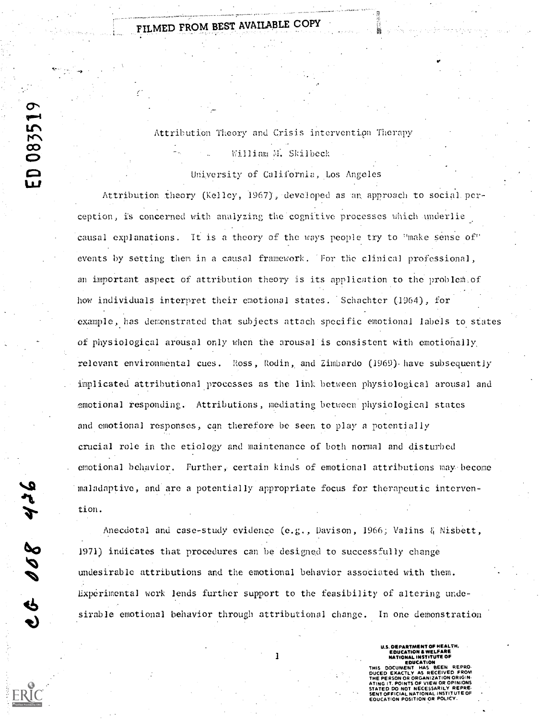FILMED FROM BEST AVAILABLE COPY

Attribution Theory and Crisis intervention Therapy William M. Skilbeck

University of California, Los Angeles

Attribution theory (Kelley, 1967), developed as an approach to social perception, is concerned with analyzing the cognitive processes which \_underlie causal explanations. it is a theory of the ways people try to "make sense of" events by setting them in a causal framework. For the clinical professional, an important aspect of attribution theory is its application to the problem-of how individuals interpret their emotional states. Schachter (1964), for example,, has demonstrated that subjects attach specific emotional labels to states of physiological arousal only when the arousal is consistent with emotionally, relevant environmental cues. Ross, Rodin, and Zimbardo (1969) have subsequently implicated attributional processes as the lint between physiological arousal and :fmotional responding. Attributions, mediating between physiological states and emotional responses, can therefore be seen to play a potentially crucial role in the etiology and maintenance of both normal and disturbed emotional behavior. Further, certain kinds of emotional attributions may. become maladaptive, and are a potentially appropriate focus for therapeutic interven-

Anecdotal and case-study evidence  $(e.g.,$  Davison, 1966; Valins & Nisbett, 1971) indiCates that procedures can be designed to successfully change undesirable attributions and the emotional behavior associated with them. Experimental work lends further support to the feasibility of altering undesirable emotional behavior through attributional change. In one demonstration  $\bullet$  100  $\bullet$  100  $\bullet$ 

U.S DEPARTMENT OF HEALTH,<br>EDUCATION & WELFARE<br>NATIONAL INSTITUTE OF EDUCATION

THIS DOCUMENT DUCED EXACTLY AS RECEIVED FROM THE PERSON OR ORGANIZATION ORIGIN OR OPINIONS STATED DO NOT NECESSARILY REPRE. SENT OFFICIAL NATIONAL INSTITUTE OF EDUCATION POSITION OR POLICY.

JIL  $\sum_{\text{tion.}}$  $\sigma$  $\ddot{\mathbf{e}}$ 

ED 083519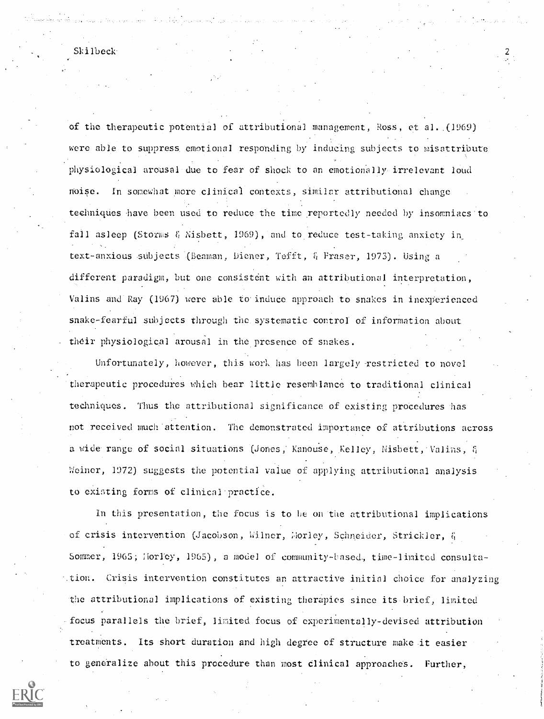of the therapeutic potential of attributional management, Ross, et al.,(1969) were able to suppress. emotional responding by inducing subjects to misattribute physiological arousal-due to fear of shock to an emotionally irrelevant loud noise. In somewhat more clinical contexts, similar attributional change techniques have been used to reduce the time reportedly needed by insomniacs'to fall asleep (Storms  $\delta_1$  Nisbett, 1969), and to reduce test-taking anxiety in text-anxious subjects (Beaman, Diener, Tefft, & Fraser, 1973). Using a different paradigm, but one consistent with an attributional interpretation, Valins and Ray (1967) were able to induce approach to snakes in inexperienced snake-fearful subjects through the. systematic control of information about their physiological arousal in the presence of snakes.

Unfortunately, however, this work has been largely restricted to novel -therapeutic procedures which bear little resemblance to traditional clinical techniques. Thus the attributional significance of existing procedures has not received much attention. The demonstrated importance of attributions across a wide range of social situations (Jones, Kanouse, Kelley, Nisbett, Valins, & Weiner, 1972) suggests the potential value of applying attributional analysis to existing forms of clinical practice.

In this presentation, the focus is to he on the attributional implications of crisis intervention (Jacobson, Wilner, Morley, Schneider, Strickler, & Sommer, 1965; liorley, 1965), a model of community-based, time-limited consulta-.tion. Crisis intervention constitutes an, attractive initial choice for analyzing the attributional implications of existing therapies since its brief, limited focus parallels the brief, limited focus of experimentally-devised attribution treatments. Its short duration and high degree of structure make it easier to generalize about this procedure than most clinical approaches. Further,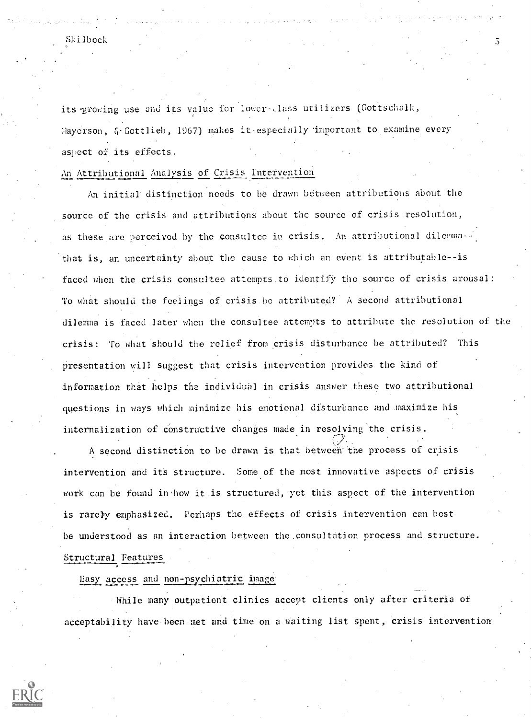its growing use and its value for lower-class utilizers (Gottschalk, Hayerson, & Gottlieb, 1967) makes it especially important to examine every aspect of its effects.

## An Attributional Analysis of Crisis intervention

An initial distinction needs to be drawn between attributions about the source of the crisis and attributions about the source of crisis resolution, as these are perceived by the consultee in crisis. An attributional dilemma-that is, an uncertainty about the cause to which an event is attributable--is faced when the crisis consultee attempts to identify the source of crisis arousal: To what should the feelings of crisis.be attributed? A second attributional dilemma is faced later when the consultee attempts to attribute the resolution of the crisis: To what should the relief from crisis disturbance be attributed? This presentation will suggest that crisis intervention provides the kind of information that helps the individual in crisis answer these two attributional questions in ways which minimize his emotional disturbance and maximize his internalization of constructive changes made in resolving the crisis.

A second distinction to be drawn is that between the process of crisis intervention and its structure. Some of the most innovative aspects of crisis work can be found in how it is structured, yet this aspect of the intervention is rarely emphasized. Perhaps the effects of crisis intervention can best be understood as an interaction between the.consultation process and structure. Structural Features

# Easy access and non-psychiatric image

While many outpatient clinics accept clients only after criteria of acceptability have been met and time on a waiting list spent, crisis intervention

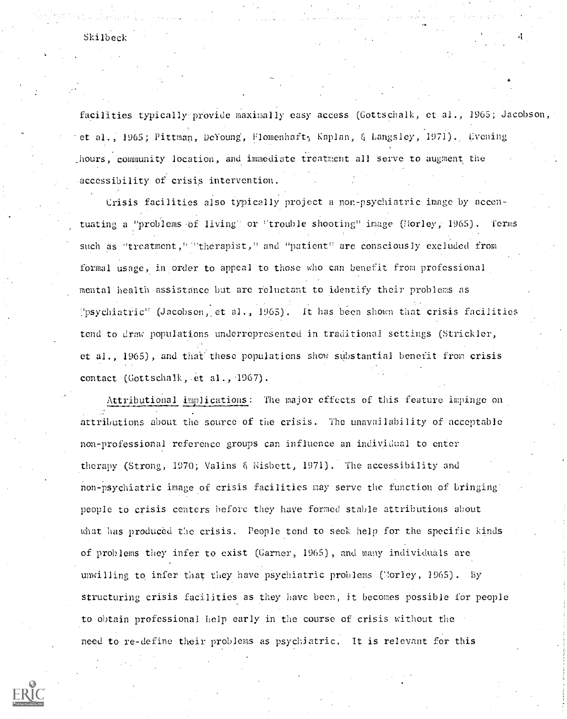Skilbeck and the state of the state of the state of the state of the state of the state of the state of the state of the state of the state of the state of the state of the state of the state of the state of the state of t

facilities typically provide maximally easy access (Gottschalk, et al., 1965; Jacobson, et al., 1965; Pittman, DeYoung, Flomenhaft, Kaplan, & Langsley, 1971). Evening hours, community location, and immediate treatment all serve to augment the accessibility of crisis intervention.

Crisis facilities also typically project a non-psychiatric image by accentuating a "problems of living" or "trouble shooting" image (Horley, 1965). Terms such as "treatment," "therapist," and "patient" are consciously excluded from formal usage, in order to appeal to those who can benefit from professional mental health assistance but are reluctant to identify their problems as YpsychiatriC (Jacobson,\_ et al., 1965) . It has been shown that crisis facilities tend to draw populations underrepresented in traditional settings (Strickler, et al., 1965), and that these populations show substantial benefit from crisis contact (Gottschalk,.et al., 1967).

Attributional implications: The major effects of this feature impinge on attributions about the source of the crisis. The unavailability of acceptable non-professional reference groups can influence an individual to enter therapy (Strong, 1970; Valins  $\S$  Nisbett, 1971). The accessibility and non-psychiatric image of crisis facilities may serve the function of bringing people to crisis centers before they have formed stable attributions about what has produced the crisis. People tend to seek help for the specific kinds of problems they infer to exist (Garner, 1965) , and many individuals are unwilling to infer that they have psychiatric problems (Norley, 1965). By structuring crisis facilities as they have been, it becomes possible for people to obtain professional help early in the course of crisis without the need to re-define their problems as psychiatric. It is relevant for this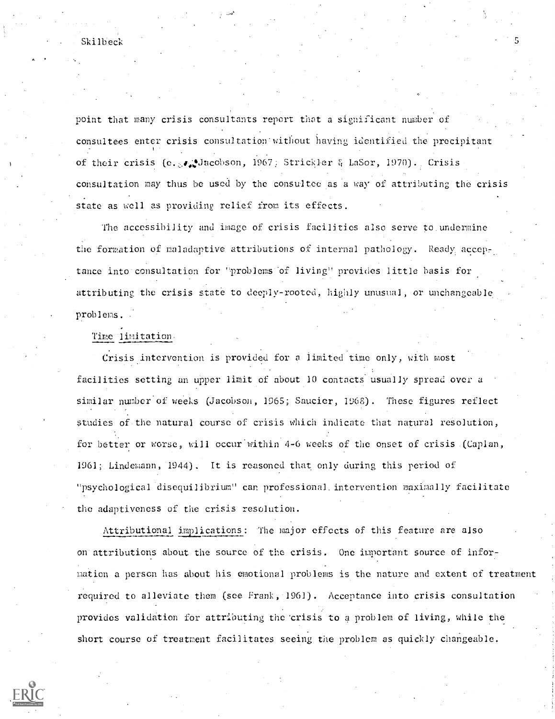point that many crisis consultants report that a significant number of consul tees enter crisis consultation without having identified the precipitant of their crisis (e....)Jacobson, 1967; Strickler & LaSor, 1970). Crisis consultation nay thus be used by the consultee as a way of attributing the crisis state as well as providing relief from its effects.

The accessibility and image of crisis facilities also serve to. undermine the formation of maladaptive attributions of internal pathology. Ready acceptance into'consultation for 'problems-of living" provides little basis for attributing the crisis state to deeply-rooted, highly unusual, or unchangeable problems.

### Time limitation.

Crisis intervention is provided for a limited time only, with most facilities setting an upper limit of about 10 contacts usually spread over a similar number of weeks (Jacobson, 1965; Saucier, 1965). These figures reflect studies of the natural course of crisis which indicate that natural resolution, for better or worse, will occur within 4-6 weeks of the onset of crisis (Caplan,  $1961$ ; Lindemann,  $1944$ ). It is reasoned that only during this period of "psychological disequilibrium" can professional. intervention maximally facilitate the adaptiveness of the crisis resolution.

Attributional implications: The major effects of this feature are also on attributions about the source of the crisis. One important source of infor mation a person has about his emotional problems is the nature and extent of treatment required to alleviate them (see Frank, 1961). Acceptance into crisis consultation provides validation for attributing the 'crisis to a problem of living, while the short course of treatment facilitates seeing the problem as quickly changeable.

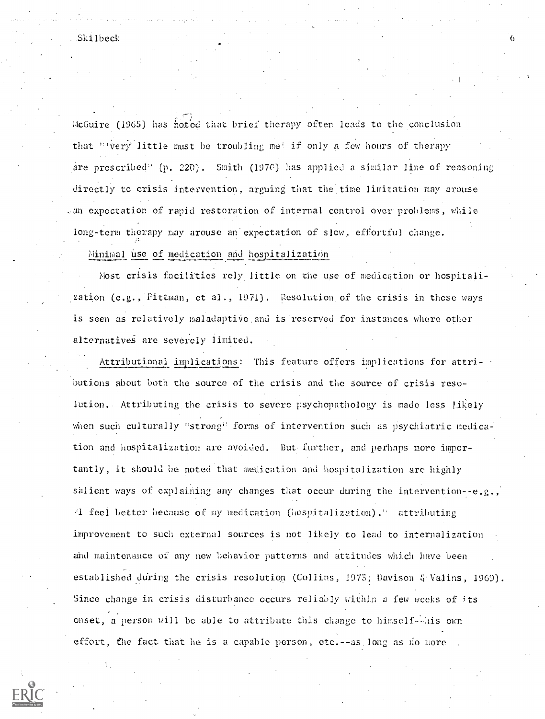$McGuire$  (1965) has noted that brief therapy often leads to the conclusion that "Very little must be troubling me! if only a few hours of therapy are prescribed" (p. 220). Smith (1970) has applied a similar line of reasoning directly to crisis intervention, arguing that the time limitation may arouse , an expectation of rapid restoration of internal control over problems, while long-term therapy may arouse an expectation of slow, effortful change.

Minimal use of medication and hospitalization

lost crisis facilities rely little on the use of medication or hospitalization  $(e.g.,$  Pittman,  $et al., 1971$ . Resolution of the crisis in these ways is seen as relatively maladaptive and is reserved for instances where other alternatives are severely limited.

Attributional implications: This feature offers implications for attributions about both the source of the crisis and the source of crisis resolution. Attributing the crisis to severe psychopathology is made less likely when such culturally "strong" forms of intervention such as psychiatric nedication and hospitalization are avoided. But further, and perhaps more importantly, it should be noted that medication and hospitalization are highly salient ways of explaining any changes that occur during the intervention--e.g., A. feel better because of my medication (hospitalization). attributing improvement to such external sources is not likely to lead to internalization. and maintenance of any new behavior patterns and attitudes which have been established during the crisis resolution (Collins, 1975; Davison & Valins, 1969). Since change in crisis disturbance occurs reliably within a few weeks of its onset, a person will be able to attribute this change to himself--his own effort, the fact that he is a capable person, etc. --as long as no more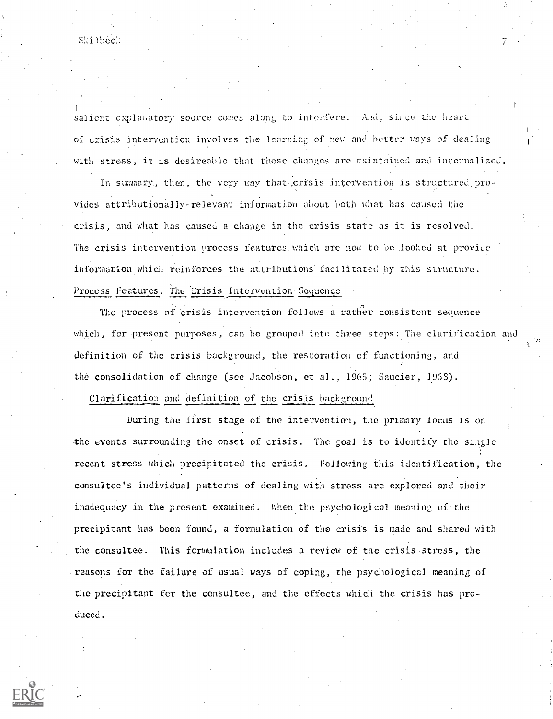Skillbeck

salient explanatory source comes along to interfere. And, since the heart of crisis intervention involves the loarning of new and better ways of dealing with stress, it is desireable that these changes are maintained and internalized.

In summary, then, the very way that crisis intervention is structured provides attributionally-relevant information about both what has caused the crisis, and what has caused a change in the crisis state as it is resolved. The crisis intervention process features.which are now to be looked at provide information which reinforces the attributions facilitated by this structure. Process Features: The Crisis Intervention Sequence

The process of crisis intervention follows a rather consistent sequence which, for present purposes, can be grouped into three steps: The clarification and definition of the crisis background, the restoration of functioning, and the consolidation of change (see Jacobson, et al., 1965; Saucier, 1968).

Clarification and definition of the crisis background

During the first stage of the intervention, the primary focus is on the events surrounding the onset of crisis. The goal is to identify the single recent stress which precipitated the crisis. Following this identification, theconsultee's individual patterns of dealing with stress are explored and their inadequacy in the present examined. When the psychological meaning of the precipitant has been found, a formulation of the crisis is made and shared with the consultee. This formulation includes a review of the crisis-stress, the reasons for the failure of usual ways of coping, the psychological meaning of the precipitant for the consultee, and the effects which the crisis has produced.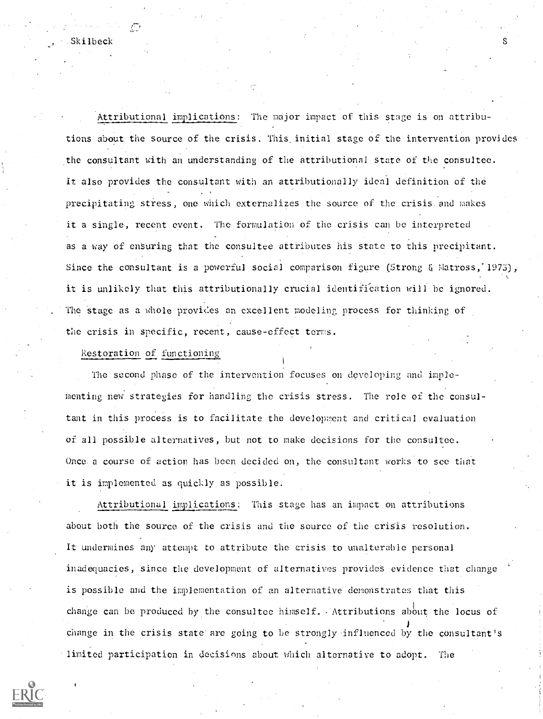Attributional implications: The major impact of this stage is on attributions about the source of the crisis. This\_initial stage of the intervention provides the consultant with an understanding of the attributional state of the consultee. It also provides the consultant with an attributionally ideal definition of the precipitating stress, one which externalizes the source of the crisisand makes it a single, recent event. The formulation of the crisis can be interpreted as a way of ensuring that the consultee attributes his state to this precipitant. Since the consultant is a powerful social comparison figure (Strong & Matross, 1975), it is unlikely that this attributionally crucial identification will be ignored. The stage as a whole provides an excellent modeling process for thinking of the crisis in specific, recent, cause-effect terms.

Restoration of functioning

The second phase of the intervention focuses on developing and implementing new strategies for handling the crisis stress. The role of the.consultant in this process is to facilitate the development and critical evaluation or all possible alternatives, but not to make decisions for the consultee. Once. a course of action has been decided on, the consultant works to see that it is implemented as quickly as possible.

Attributional implications: This stage has an impact on attributions about both the source of the crisis and the source of the crisis resolution. It undermines any attempt to attribute the crisis to unalterable personal inadequacies, since the development of alternatives provides evidence that change is possible and the implementation of an alternative demonstrates that this change can be produced by the consultee himself. Attributions about the locus of change in the crisis state'are going to be strongly influenced by the consultant's limited participation in decisions about which alternative to adopt. The

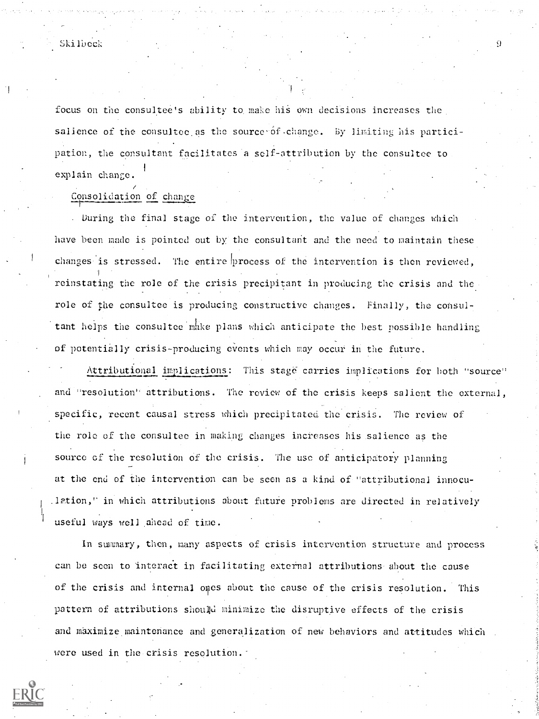## Skilbech

focus on the consultee's ability to make his own decisions increases the. salience of the consultee as the source-of-change. By limiting his participation, the consultant facilitates a self-attribution by the consultee to explain change.

Consolidation of change -<del>--------</del>--

. buring the final stage of the intervention, the value of changes which have been made is pointed out by the consultant and the need to maintain these changes is stressed. The entire process of the intervention is then reviewed, reinstating the role of the crisis precipitant in producing the crisis and the role of the consultee is producing constructive changes. Finally, the consultant helps the consultee make plans which anticipate the best possible handling of potentially crisis-producing events which may occur in the future.

Attributional implications: This stage carries implications for both "source" and "resolution" attributions. The review of the crisis keeps salient the external, specific, recent causal stress which precipitated the crisis. The review of the role of the consultee in making changes increases his salience as the source of the resolution of the crisis. The use of anticipatory planning at the end of the intervention can be seen as a kind of "attributional innocu- .1Ption," in which attributions about future problems are directed in relatively useful ways well ahead of time.

In sumary, then, many aspects of crisis intervention structure and process can be seen to interact in facilitating external attributions-about the cause of the crisis and internal ones about the cause of the crisis resolution. This pattern of attributions shoul)d minimize the disruptive effects of the crisis and maximize maintenance and generalization of new behaviors and attitudes which were used in the crisis resolution.

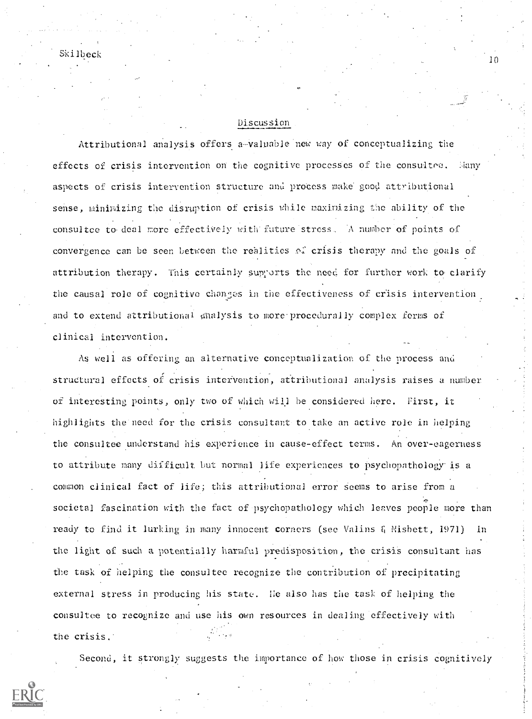# Discussion

10

Attributional analysis offers a-valuable new way of conceptualizing the effects of crisis intervention on the cognitive processes of the consultee. Many aspects of crisis intervention structure and process make good attributional sense, minimizing the disruption of crisis while maximizing the ability of the consultee to deal more effectively with future stress. A number of points of convergence can be seen between the realities of crisis therapy and the goals of attribution therapy. This certainly supports the need for further work to clarify the causal role of cognitive changes in the effectiveness of crisis intervention and to extend attributional analysis to more. procedurally complex forms of clinical intervention.

As well as offering an alternative conceptualization of the process and structural effects of crisis intervention, attributional analysis raises a number of interesting points, only two of which will be considered here. First, it highlights the need for the crisis consultant to take an active role in helping the consultee understand his experience in cause-effect terms. An over-eagerness to attribute many difficult but normal life experiences to psychopathology is a common clinical fact of life; this attributional error seems to arise from a societal fascination with the fact of psychopathology which leaves people more than ready to find it lurking in many innocent corners (see Valins & Misbett, 1971) In the light of such a potentially harmful predisposition, the crisis consultant has the task of helping the consultee recognize the contribution of precipitating external stress in producing his state. He also has the task of helping the consultee to recognize and use his own resources in dealing effectively with the crisis.

Second, it strongly suggests the importance of how those in crisis cognitively

Skilbeck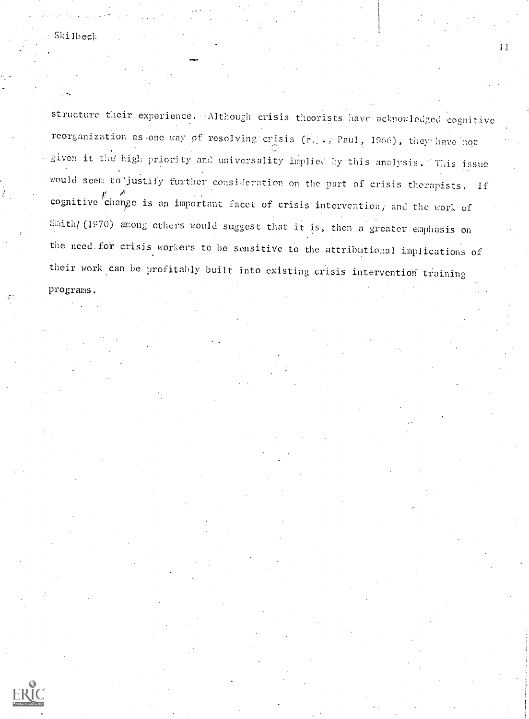structure their experience. Although crisis theorists have acknowledged cognitive reorganization as one way of resolving crisis (e. ., Paul, 1966), they have not given it the high priority and universality implied by this analysis. This issue would seem to justify further consideration on the part of crisis therapists. If cognitive change is an important facet of crisis intervention, and the work of Smith/ (1970) among others would suggest that it is, then a greater emphasis on the need for crisis workers to be sensitive to the attributional implications of their work can be profitably built into existing crisis intervention training programs;

11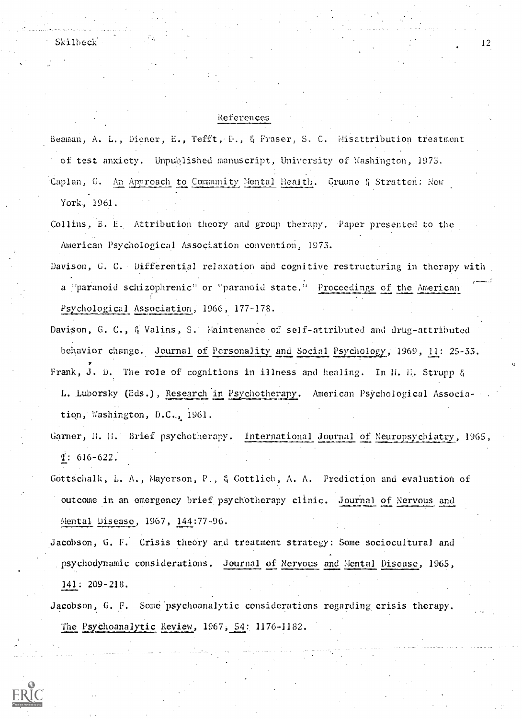$\mathsf{Skilbeck}$  12

#### References

Beaman, A. L., Diener, E., Tefft, D., & Fraser, S. C. Misattribution treatment Of test anxiety. Unpublished manuscript, University of Washington, 1973. Caplan, G. An Approach to Community Mental Health. Gruune & Stratten: New York, 1961.

- Collins, B. E., Attribution theory and group therapy. Paper presented to the American Psychological Association convention, 1973.
- Davison, G. C. Differential relaxation and cognitive restructuring in therapy with a "paranoid schizophrenic" or "paranoid state." Proceedings of the American 4 - Jan Jaw Psychological Association, 1966, 177-178.
- Davison, G. C., & Valins, S. Maintenance of self-attributed and drug-attributed behavior change. Journal of Personality and Social Psychology, 1969, 11: 25-33. Frank, J. D. The role of cognitions in illness and healing. In H. H. Strupp & L. luborsky (Eds.), Research in Psychotherapy. American Psychological Association, Washington, D.C,, 1961.
- Garner, H. H. Brief psychotherapy. International Journal of Neuropsychiatry, 1965, 1: 616-622.
- Gottschalk, L. A., Mayerson, P., & Gottlieb, A. A. Prediction and evaluation of outcome in an emergency brief psychotherapy clinic. Journal of Nervous and Mental Disease, 1967, 144:77-96.
- Jacobson, G. F. Crisis theory and treatment strategy: Some sociocultural and psychodynamic considerations. Journal of Nervous and Mental Disease, 1965, 141: 209 -218.
- Jacobson, G. F. Some psychoanalytic considerations regarding crisis therapy. The Psychoanalytic Review, 1967, 54: 1176-1182.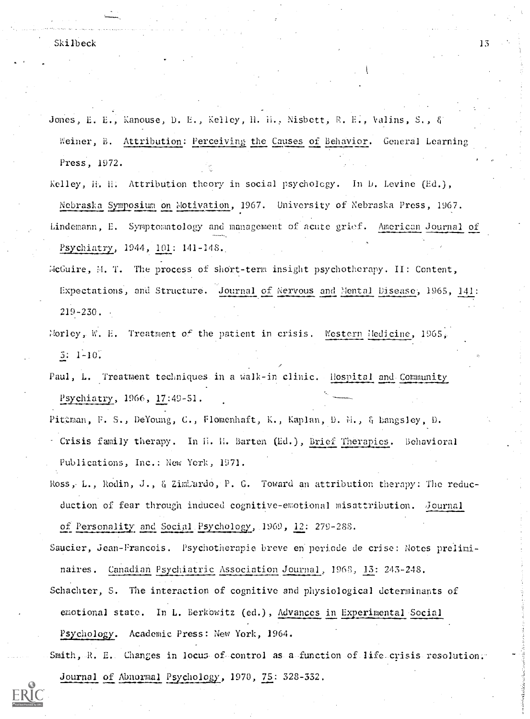Jones, E. E., Kanouse, D. E., Kelley, H. H., Nisbett, R. E., Valins, S., & Weiner, B. Attribution: Perceiving the Causes of Behavior. General Learning Press, 1972.

Kelley, H. H. Attribution theory in social psychology. In D. Levine (Ed.), Nebraska Symposium on Motivation, 1967. University of Nebraska Press, 1967. Lindemann, E. Symptomatology and management of acute grief. American Journal of Psychiatry, 1944, 101: 141-148.

- McGuire, M. T. The process of short-term insight psychotherapy. II: Content, Expectations, and Structure. Journal of Nervous and Mental Disease, 1965, 141: 219-230.
- Norley, W. E. Treatment of the patient in crisis. Western Medicine,  $1965<sub>k</sub>$ 3: 1-10.

Paul, L. Treatment techniques. in a Walk-in clinic. Hospital and- Community Psychiatry, 1966, 17:49-51.

Pittman, F. S., DeYoung, C., Flomenhaft, K., Kaplan, D. M., & Langsley, D. Crisis family therapy. In H. H. Barten (Ed.), Brief Therapies. Behavioral Publications, Inc.: New York, 1971.

Ross, L., Rodin, J., & ZimUardo, P. G. Toward an attribution therapy: The reducduction of fear through induced cognitive-emotional misattribution. Journal of Personality and Social Psychology, 1969, 12: 279-288.

Saucier, jean-Francois. Psychotherapie breve en periode de crise: Notes preIiminaires. Canadian Psychiatric Association Journal, 1968, 13: 243-248.

Schachter, S. The interaction of cognitive and physiological determinants of emotional state. In L. Berkowitz (ed.), Advances in Experimental Social Psychology. Academic Press: New York, 1964.

Smith,-R. E. Changes in locus of control as a function of life crisis resolution. Journal of Abnormal Psychology, 1970, 75: 328-332.